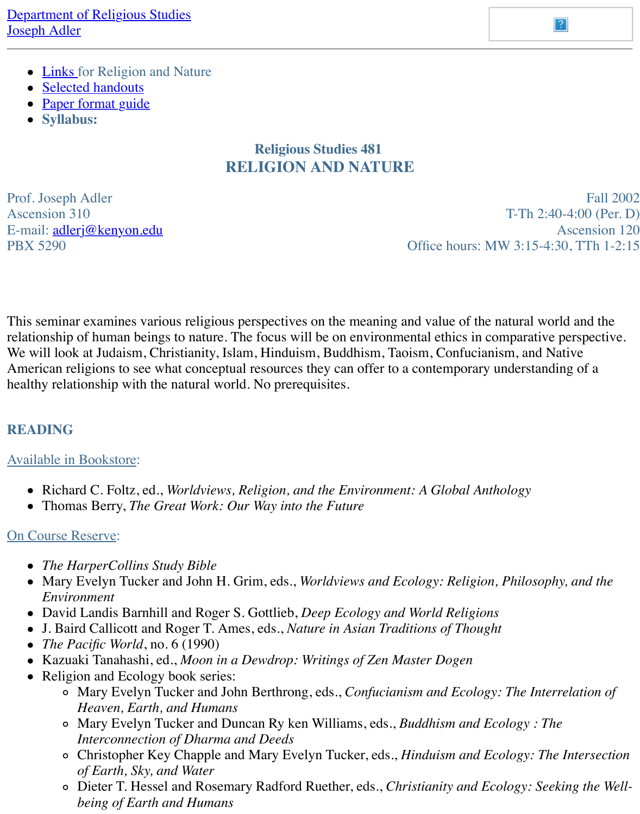

## **Religious Studies 481 RELIGION AND NATURE**

Prof. [Joseph Adler](https://www.wabashcenter.wabash.edu/syllabi/a/adler/1JN2D-481/HANDOUTS481.htm) Ascension  $310$  T-Th E-mail: [adlerj@kenyon.ed](http://www.wabashcenter.wabash.edu/syllabi/a/adler/paper-format.htm)u PBX 5290 Office hours: MW 3:15

This seminar examines various religious perspectives on the meaning and value of the natural relationship of human beings to nature. The focus will be on environmental ethics in comparat We will [look at Judaism, Ch](mailto:adlerj@kenyon.edu)ristianity, Islam, Hinduism, Buddhism, Taoism, Confucianism, and American religions to see what conceptual resources they can offer to a contemporary understanding of a healthy relationship with the natural world. No prerequisites.

#### **READING**

#### Available in Bookstore:

- Richard C. Foltz, ed., *Worldviews, Religion, and the Environment: A Global Anthology*
- Thomas Berry, *The Great Work: Our Way into the Future*

### On Course Reserve:

- *The HarperCollins Study Bible*
- Mary Evelyn Tucker and John H. Grim, eds., *Worldviews and Ecology: Religion, Philos Environment*
- David Landis Barnhill and Roger S. Gottlieb, *Deep Ecology and World Religions*
- J. Baird Callicott and Roger T. Ames, eds., *Nature in Asian Traditions of Thought*
- *The Pacific World*, no. 6 (1990)
- Kazuaki Tanahashi, ed., *Moon in a Dewdrop: Writings of Zen Master Dogen*
- Religion and Ecology book series:
	- o Mary Evelyn Tucker and John Berthrong, eds., *Confucianism and Ecology: The Interrelation of Heaven, Earth, and Humans*
	- o Mary Evelyn Tucker and Duncan Ry ken Williams, eds., *Buddhism and Ecology*: *Interconnection of Dharma and Deeds*
	- o Christopher Key Chapple and Mary Evelyn Tucker, eds., *Hinduism and Ecology*: *of Earth, Sky, and Water*
	- o Dieter T. Hessel and Rosemary Radford Ruether, eds., *Christianity and Ecology: being of Earth and Humans*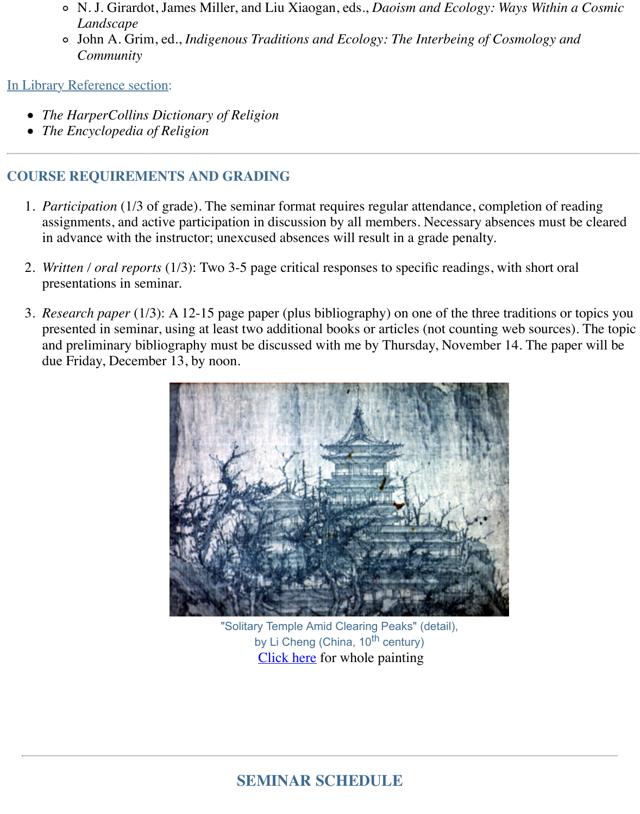- *The HarperCollins Dictionary of Religion*
- *The Encyclopedia of Religion*

### **COURSE REQUIREMENTS AND GRADING**

- 1. *Participation* (1/3 of grade). The seminar format requires regular attendance, completion assignments, and active participation in discussion by all members. Necessary absences in advance with the instructor; unexcused absences will result in a grade penalty.
- 2. *Written / oral reports* (1/3): Two 3-5 page critical responses to specific readings, with sh presentations in seminar.
- 3. *Research paper* (1/3): A 12-15 page paper (plus bibliography) on one of the three traditions. presented in seminar, using at least two additional books or articles (not counting web so and preliminary bibliography must be discussed with me by Thursday, November 14. The paper of  $p$ due Friday, December 13, by noon.



"Solitary Temple Amid Clearing Peaks" (detail), by Li Cheng (China,  $10^{th}$  century) Click here for whole painting

# **SE[MINAR S](https://www.wabashcenter.wabash.edu/syllabi/a/adler/1JN2D-481/SolitaryTemple.htm)CHEDULE**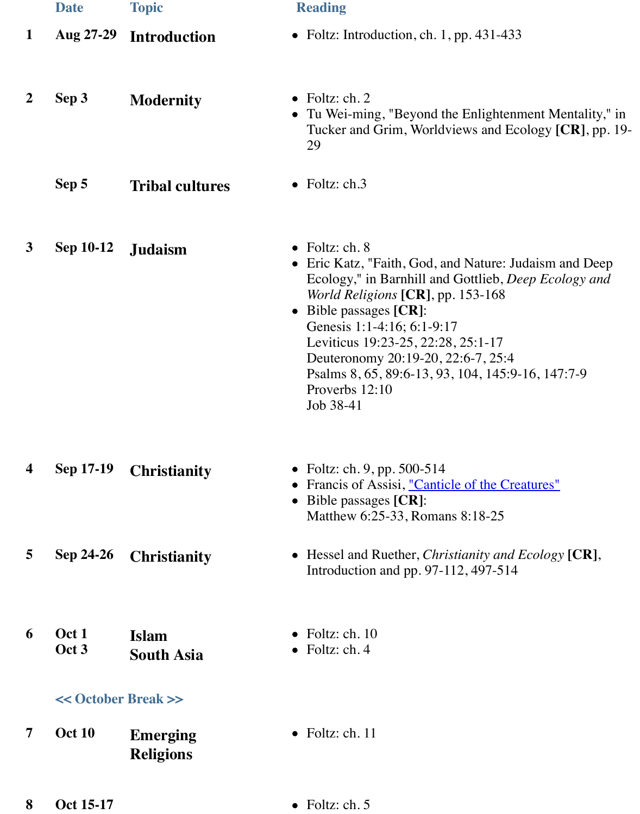|    |  | Tucker and Grim, Worldviews and Ecolo |  |
|----|--|---------------------------------------|--|
| 29 |  |                                       |  |
|    |  |                                       |  |

| Sep 5<br><b>Tribal cultures</b> | $\bullet$ Foltz: ch.3 |
|---------------------------------|-----------------------|
|---------------------------------|-----------------------|

- **3 Sep 10-12 Judaism •** Foltz: ch. 8
	-
	- Eric Katz, "Faith, God, and Nature: Judai Ecology," in Barnhill and Gottlieb, *Deep World Religions* **[CR]**, pp. 153-168
	- Bible passages **[CR]**: Genesis 1:1-4:16; 6:1-9:17 Leviticus 19:23-25, 22:28, 25:1-17 Deuteronomy 20:19-20, 22:6-7, 25:4 Psalms 8, 65, 89:6-13, 93, 104, 145:9-16 Proverbs 12:10 Job 38-41

**4 Sep 17-19 Christianity** • Foltz: ch. 9, pp. 500-514 • Francis of Assisi, <u>"Canticle of the Creature</u>

- Bible passages **[CR]**: Matthew 6:25-33, Romans 8:18-25
- **5 Sep 24-26 Christianity •** Hessel and Ruether, *Christianity and Ecc* Introduction and pp. 97-112, 497-514
- **6 Oct 1 Oct 3 Islam South Asia** • Foltz: ch. 10  $\bullet$  Foltz: ch. 4

#### **<< October Break >>**

- **7 Oct 10 Emerging Religions**  $\bullet$  Foltz: ch. 11
- **8 Oct 15-17** Foltz: ch. 5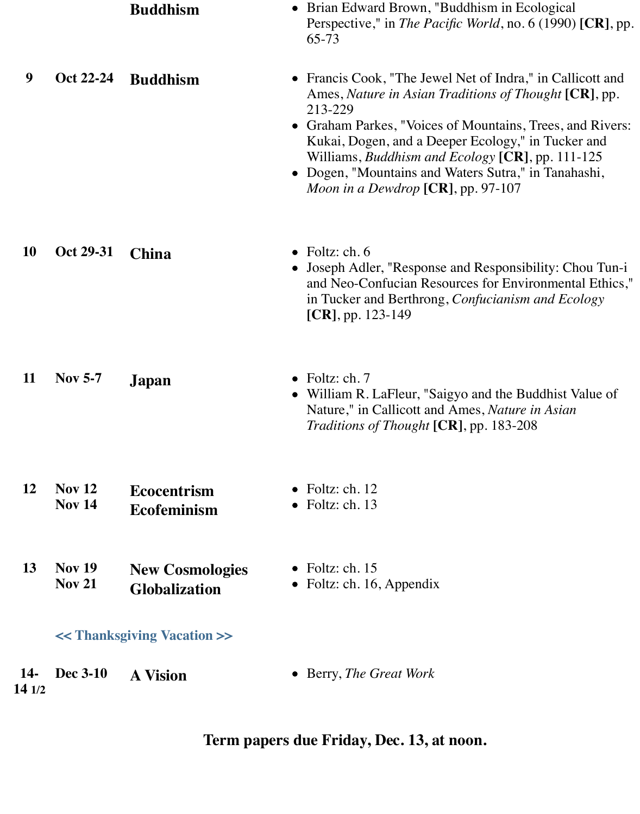|                                | <b>Buddhism</b>                                | • Brian Edward Brown, "Buddhism in Ecological<br>Perspective," in <i>The Pacific World</i> , no. 6 (1990) [CR], pp.<br>65-73                                                                                                                                                                                                                                                                                      |
|--------------------------------|------------------------------------------------|-------------------------------------------------------------------------------------------------------------------------------------------------------------------------------------------------------------------------------------------------------------------------------------------------------------------------------------------------------------------------------------------------------------------|
| Oct 22-24                      | <b>Buddhism</b>                                | • Francis Cook, "The Jewel Net of Indra," in Callicott and<br>Ames, Nature in Asian Traditions of Thought [CR], pp.<br>213-229<br>• Graham Parkes, "Voices of Mountains, Trees, and Rivers:<br>Kukai, Dogen, and a Deeper Ecology," in Tucker and<br>Williams, <i>Buddhism and Ecology</i> [ $CR$ ], pp. 111-125<br>• Dogen, "Mountains and Waters Sutra," in Tanahashi,<br>Moon in a Dewdrop $[CR]$ , pp. 97-107 |
| Oct 29-31                      | <b>China</b>                                   | $\bullet$ Foltz: ch. 6<br>• Joseph Adler, "Response and Responsibility: Chou Tun-i<br>and Neo-Confucian Resources for Environmental Ethics,"<br>in Tucker and Berthrong, Confucianism and Ecology<br>$[CR]$ , pp. 123-149                                                                                                                                                                                         |
| <b>Nov 5-7</b>                 | Japan                                          | $\bullet$ Foltz: ch. 7<br>• William R. LaFleur, "Saigyo and the Buddhist Value of<br>Nature," in Callicott and Ames, <i>Nature in Asian</i><br><i>Traditions of Thought</i> [CR], pp. 183-208                                                                                                                                                                                                                     |
| Nov $12$<br><b>Nov 14</b>      | <b>Ecocentrism</b><br><b>Ecofeminism</b>       | $\bullet$ Foltz: ch. 12<br>$\bullet$ Foltz: ch. 13                                                                                                                                                                                                                                                                                                                                                                |
| <b>Nov 19</b><br><b>Nov 21</b> | <b>New Cosmologies</b><br><b>Globalization</b> | • Foltz: ch. $15$<br>• Foltz: ch. 16, Appendix                                                                                                                                                                                                                                                                                                                                                                    |
|                                |                                                |                                                                                                                                                                                                                                                                                                                                                                                                                   |
| <b>Dec 3-10</b><br>141/2       | <b>A Vision</b>                                | • Berry, The Great Work                                                                                                                                                                                                                                                                                                                                                                                           |
|                                |                                                | < <thanksgiving vacation="">&gt;</thanksgiving>                                                                                                                                                                                                                                                                                                                                                                   |

**Term papers due Friday, Dec. 13, at noon.**